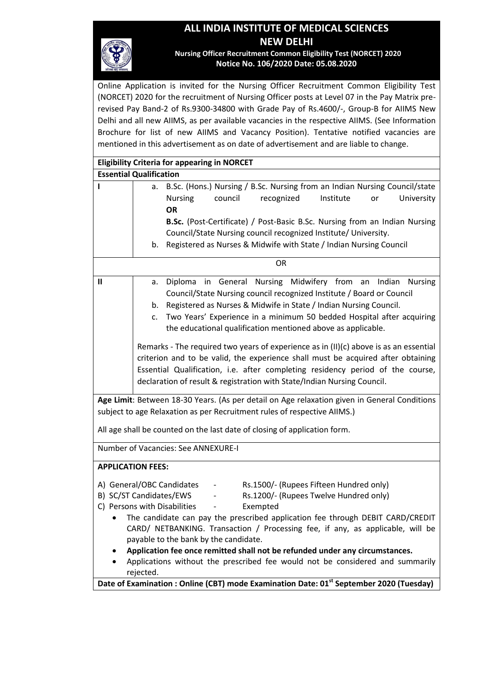# **ALL INDIA INSTITUTE OF MEDICAL SCIENCES NEW DELHI**



**Nursing Officer Recruitment Common Eligibility Test (NORCET) 2020 Notice No. 106/2020 Date: 05.08.2020**

Online Application is invited for the Nursing Officer Recruitment Common Eligibility Test (NORCET) 2020 for the recruitment of Nursing Officer posts at Level 07 in the Pay Matrix prerevised Pay Band-2 of Rs.9300-34800 with Grade Pay of Rs.4600/-, Group-B for AIIMS New Delhi and all new AIIMS, as per available vacancies in the respective AIIMS. (See Information Brochure for list of new AIIMS and Vacancy Position). Tentative notified vacancies are mentioned in this advertisement as on date of advertisement and are liable to change.

| <b>Eligibility Criteria for appearing in NORCET</b>                                          |                                                                                       |                                                                                                     |  |  |  |  |  |
|----------------------------------------------------------------------------------------------|---------------------------------------------------------------------------------------|-----------------------------------------------------------------------------------------------------|--|--|--|--|--|
| <b>Essential Qualification</b>                                                               |                                                                                       |                                                                                                     |  |  |  |  |  |
| ı                                                                                            | B.Sc. (Hons.) Nursing / B.Sc. Nursing from an Indian Nursing Council/state<br>a.      |                                                                                                     |  |  |  |  |  |
|                                                                                              |                                                                                       | council<br>recognized<br>Institute<br>University<br><b>Nursing</b><br>or                            |  |  |  |  |  |
|                                                                                              |                                                                                       | <b>OR</b>                                                                                           |  |  |  |  |  |
|                                                                                              |                                                                                       | B.Sc. (Post-Certificate) / Post-Basic B.Sc. Nursing from an Indian Nursing                          |  |  |  |  |  |
|                                                                                              |                                                                                       | Council/State Nursing council recognized Institute/ University.                                     |  |  |  |  |  |
|                                                                                              |                                                                                       | b. Registered as Nurses & Midwife with State / Indian Nursing Council                               |  |  |  |  |  |
|                                                                                              | <b>OR</b>                                                                             |                                                                                                     |  |  |  |  |  |
| $\mathbf{I}$                                                                                 | а.                                                                                    | Diploma in General Nursing Midwifery from an Indian Nursing                                         |  |  |  |  |  |
|                                                                                              |                                                                                       | Council/State Nursing council recognized Institute / Board or Council                               |  |  |  |  |  |
|                                                                                              | b.                                                                                    | Registered as Nurses & Midwife in State / Indian Nursing Council.                                   |  |  |  |  |  |
|                                                                                              | C.                                                                                    | Two Years' Experience in a minimum 50 bedded Hospital after acquiring                               |  |  |  |  |  |
|                                                                                              |                                                                                       | the educational qualification mentioned above as applicable.                                        |  |  |  |  |  |
|                                                                                              |                                                                                       |                                                                                                     |  |  |  |  |  |
|                                                                                              | Remarks - The required two years of experience as in (II)(c) above is as an essential |                                                                                                     |  |  |  |  |  |
|                                                                                              | criterion and to be valid, the experience shall must be acquired after obtaining      |                                                                                                     |  |  |  |  |  |
|                                                                                              | Essential Qualification, i.e. after completing residency period of the course,        |                                                                                                     |  |  |  |  |  |
|                                                                                              | declaration of result & registration with State/Indian Nursing Council.               |                                                                                                     |  |  |  |  |  |
| Age Limit: Between 18-30 Years. (As per detail on Age relaxation given in General Conditions |                                                                                       |                                                                                                     |  |  |  |  |  |
| subject to age Relaxation as per Recruitment rules of respective AIIMS.)                     |                                                                                       |                                                                                                     |  |  |  |  |  |
|                                                                                              |                                                                                       |                                                                                                     |  |  |  |  |  |
| All age shall be counted on the last date of closing of application form.                    |                                                                                       |                                                                                                     |  |  |  |  |  |
|                                                                                              |                                                                                       | Number of Vacancies: See ANNEXURE-I                                                                 |  |  |  |  |  |
| <b>APPLICATION FEES:</b>                                                                     |                                                                                       |                                                                                                     |  |  |  |  |  |
| A) General/OBC Candidates<br>Rs.1500/- (Rupees Fifteen Hundred only)                         |                                                                                       |                                                                                                     |  |  |  |  |  |
| B) SC/ST Candidates/EWS<br>Rs.1200/- (Rupees Twelve Hundred only)                            |                                                                                       |                                                                                                     |  |  |  |  |  |
| C) Persons with Disabilities<br>Exempted                                                     |                                                                                       |                                                                                                     |  |  |  |  |  |
| The candidate can pay the prescribed application fee through DEBIT CARD/CREDIT               |                                                                                       |                                                                                                     |  |  |  |  |  |
| CARD/ NETBANKING. Transaction / Processing fee, if any, as applicable, will be               |                                                                                       |                                                                                                     |  |  |  |  |  |
| payable to the bank by the candidate.                                                        |                                                                                       |                                                                                                     |  |  |  |  |  |
|                                                                                              |                                                                                       | Application fee once remitted shall not be refunded under any circumstances.                        |  |  |  |  |  |
| ٠                                                                                            | Applications without the prescribed fee would not be considered and summarily         |                                                                                                     |  |  |  |  |  |
|                                                                                              | rejected.                                                                             |                                                                                                     |  |  |  |  |  |
|                                                                                              |                                                                                       | Date of Examination : Online (CBT) mode Examination Date: 01 <sup>st</sup> September 2020 (Tuesday) |  |  |  |  |  |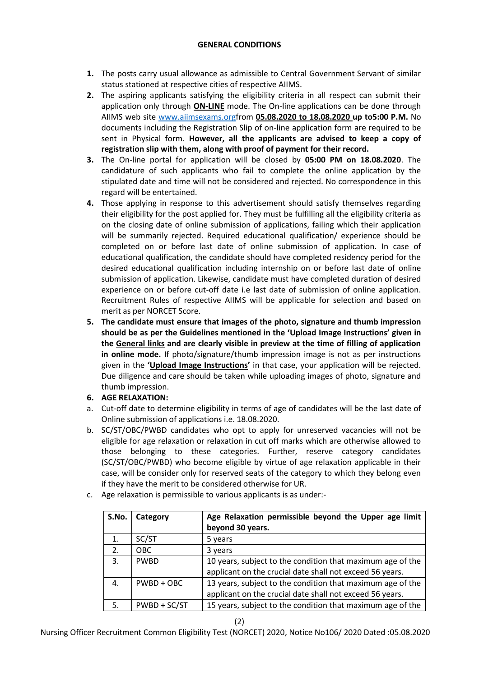# **GENERAL CONDITIONS**

- **1.** The posts carry usual allowance as admissible to Central Government Servant of similar status stationed at respective cities of respective AIIMS.
- **2.** The aspiring applicants satisfying the eligibility criteria in all respect can submit their application only through **ON-LINE** mode. The On-line applications can be done through AIIMS web site [www.aiimsexams.orgf](http://www.aiimsexams.org/)rom **05.08.2020 to 18.08.2020 up to5:00 P.M.** No documents including the Registration Slip of on-line application form are required to be sent in Physical form. **However, all the applicants are advised to keep a copy of registration slip with them, along with proof of payment for their record.**
- **3.** The On-line portal for application will be closed by **05:00 PM on 18.08.2020**. The candidature of such applicants who fail to complete the online application by the stipulated date and time will not be considered and rejected. No correspondence in this regard will be entertained.
- **4.** Those applying in response to this advertisement should satisfy themselves regarding their eligibility for the post applied for. They must be fulfilling all the eligibility criteria as on the closing date of online submission of applications, failing which their application will be summarily rejected. Required educational qualification/ experience should be completed on or before last date of online submission of application. In case of educational qualification, the candidate should have completed residency period for the desired educational qualification including internship on or before last date of online submission of application. Likewise, candidate must have completed duration of desired experience on or before cut-off date i.e last date of submission of online application. Recruitment Rules of respective AIIMS will be applicable for selection and based on merit as per NORCET Score.
- **5. The candidate must ensure that images of the photo, signature and thumb impression should be as per the Guidelines mentioned in the 'Upload Image Instructions' given in the General links and are clearly visible in preview at the time of filling of application in online mode.** If photo/signature/thumb impression image is not as per instructions given in the **'Upload Image Instructions'** in that case, your application will be rejected. Due diligence and care should be taken while uploading images of photo, signature and thumb impression.
- **6. AGE RELAXATION:**
- a. Cut-off date to determine eligibility in terms of age of candidates will be the last date of Online submission of applications i.e. 18.08.2020.
- b. SC/ST/OBC/PWBD candidates who opt to apply for unreserved vacancies will not be eligible for age relaxation or relaxation in cut off marks which are otherwise allowed to those belonging to these categories. Further, reserve category candidates (SC/ST/OBC/PWBD) who become eligible by virtue of age relaxation applicable in their case, will be consider only for reserved seats of the category to which they belong even if they have the merit to be considered otherwise for UR.

| S.No. | Category     | Age Relaxation permissible beyond the Upper age limit<br>beyond 30 years.                                              |
|-------|--------------|------------------------------------------------------------------------------------------------------------------------|
| 1.    | SC/ST        | 5 years                                                                                                                |
| 2.    | <b>OBC</b>   | 3 years                                                                                                                |
| 3.    | <b>PWBD</b>  | 10 years, subject to the condition that maximum age of the<br>applicant on the crucial date shall not exceed 56 years. |
| 4.    | $PWBD + OBC$ | 13 years, subject to the condition that maximum age of the<br>applicant on the crucial date shall not exceed 56 years. |
| 5.    | PWBD + SC/ST | 15 years, subject to the condition that maximum age of the                                                             |

c. Age relaxation is permissible to various applicants is as under:-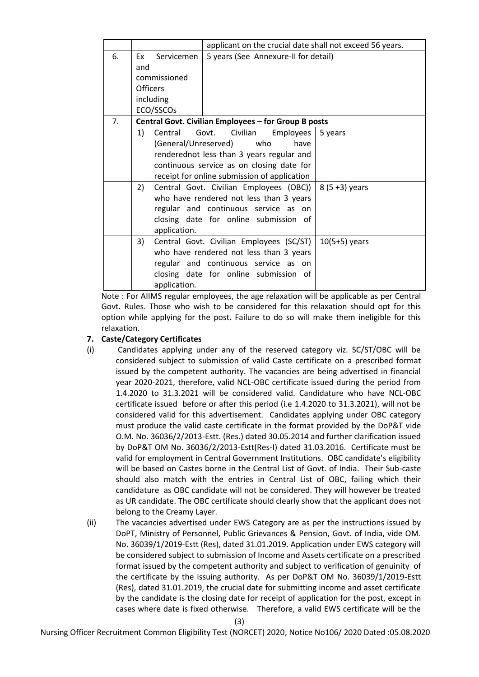|    |                                                      | applicant on the crucial date shall not exceed 56 years. |                 |  |  |  |
|----|------------------------------------------------------|----------------------------------------------------------|-----------------|--|--|--|
| 6. | Servicemen<br>Ex                                     | 5 years (See Annexure-II for detail)                     |                 |  |  |  |
|    | and                                                  |                                                          |                 |  |  |  |
|    | commissioned                                         |                                                          |                 |  |  |  |
|    | <b>Officers</b>                                      |                                                          |                 |  |  |  |
|    | including                                            |                                                          |                 |  |  |  |
|    | ECO/SSCOs                                            |                                                          |                 |  |  |  |
| 7. | Central Govt. Civilian Employees - for Group B posts |                                                          |                 |  |  |  |
|    | 1)<br>Central                                        | Govt.<br>Civilian<br>Employees                           | 5 years         |  |  |  |
|    | (General/Unreserved)                                 | who<br>have                                              |                 |  |  |  |
|    | renderednot less than 3 years regular and            |                                                          |                 |  |  |  |
|    |                                                      | continuous service as on closing date for                |                 |  |  |  |
|    |                                                      | receipt for online submission of application             |                 |  |  |  |
|    | 2)                                                   | Central Govt. Civilian Employees (OBC))                  | $8(5+3)$ years  |  |  |  |
|    |                                                      | who have rendered not less than 3 years                  |                 |  |  |  |
|    |                                                      | regular and continuous service as on                     |                 |  |  |  |
|    |                                                      | closing date for online submission of                    |                 |  |  |  |
|    | application.                                         |                                                          |                 |  |  |  |
|    | 3)                                                   | Central Govt. Civilian Employees (SC/ST)                 | $10(5+5)$ years |  |  |  |
|    |                                                      | who have rendered not less than 3 years                  |                 |  |  |  |
|    |                                                      | regular and continuous service as on                     |                 |  |  |  |
|    |                                                      | closing date for online submission of                    |                 |  |  |  |
|    | application.                                         |                                                          |                 |  |  |  |

Note : For AIIMS regular employees, the age relaxation will be applicable as per Central Govt. Rules. Those who wish to be considered for this relaxation should opt for this option while applying for the post. Failure to do so will make them ineligible for this relaxation.

## **7. Caste/Category Certificates**

- (i) Candidates applying under any of the reserved category viz. SC/ST/OBC will be considered subject to submission of valid Caste certificate on a prescribed format issued by the competent authority. The vacancies are being advertised in financial year 2020-2021, therefore, valid NCL-OBC certificate issued during the period from 1.4.2020 to 31.3.2021 will be considered valid. Candidature who have NCL-OBC certificate issued before or after this period (i.e 1.4.2020 to 31.3.2021), will not be considered valid for this advertisement. Candidates applying under OBC category must produce the valid caste certificate in the format provided by the DoP&T vide O.M. No. 36036/2/2013-Estt. (Res.) dated 30.05.2014 and further clarification issued by DoP&T OM No. 36036/2/2013-Estt(Res-I) dated 31.03.2016. Certificate must be valid for employment in Central Government Institutions. OBC candidate's eligibility will be based on Castes borne in the Central List of Govt. of India. Their Sub-caste should also match with the entries in Central List of OBC, failing which their candidature as OBC candidate will not be considered. They will however be treated as UR candidate. The OBC certificate should clearly show that the applicant does not belong to the Creamy Layer.
- (ii) The vacancies advertised under EWS Category are as per the instructions issued by DoPT, Ministry of Personnel, Public Grievances & Pension, Govt. of India, vide OM. No. 36039/1/2019-Estt (Res), dated 31.01.2019. Application under EWS category will be considered subject to submission of Income and Assets certificate on a prescribed format issued by the competent authority and subject to verification of genuinity of the certificate by the issuing authority. As per DoP&T OM No. 36039/1/2019-Estt (Res), dated 31.01.2019, the crucial date for submitting income and asset certificate by the candidate is the closing date for receipt of application for the post, except in cases where date is fixed otherwise. Therefore, a valid EWS certificate will be the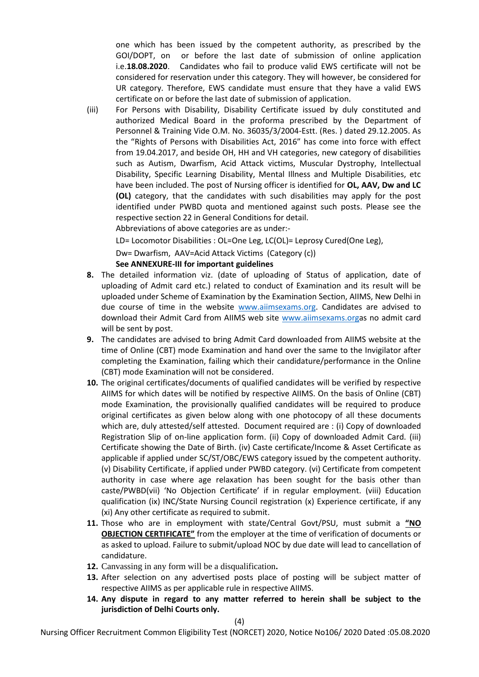one which has been issued by the competent authority, as prescribed by the GOI/DOPT, on or before the last date of submission of online application i.e.**18.08.2020**. Candidates who fail to produce valid EWS certificate will not be considered for reservation under this category. They will however, be considered for UR category. Therefore, EWS candidate must ensure that they have a valid EWS certificate on or before the last date of submission of application.

(iii) For Persons with Disability, Disability Certificate issued by duly constituted and authorized Medical Board in the proforma prescribed by the Department of Personnel & Training Vide O.M. No. 36035/3/2004-Estt. (Res. ) dated 29.12.2005. As the "Rights of Persons with Disabilities Act, 2016" has come into force with effect from 19.04.2017, and beside OH, HH and VH categories, new category of disabilities such as Autism, Dwarfism, Acid Attack victims, Muscular Dystrophy, Intellectual Disability, Specific Learning Disability, Mental Illness and Multiple Disabilities, etc have been included. The post of Nursing officer is identified for **OL, AAV, Dw and LC (OL)** category, that the candidates with such disabilities may apply for the post identified under PWBD quota and mentioned against such posts. Please see the respective section 22 in General Conditions for detail.

Abbreviations of above categories are as under:-

LD= Locomotor Disabilities : OL=One Leg, LC(OL)= Leprosy Cured(One Leg),

Dw= Dwarfism, AAV=Acid Attack Victims (Category (c))

### **See ANNEXURE-III for important guidelines**

- **8.** The detailed information viz. (date of uploading of Status of application, date of uploading of Admit card etc.) related to conduct of Examination and its result will be uploaded under Scheme of Examination by the Examination Section, AIIMS, New Delhi in due course of time in the website [www.aiimsexams.org.](http://www.aiimsexams.org/) Candidates are advised to download their Admit Card from AIIMS web site [www.aiimsexams.orga](http://www.aiimsexams.org/)s no admit card will be sent by post.
- **9.** The candidates are advised to bring Admit Card downloaded from AIIMS website at the time of Online (CBT) mode Examination and hand over the same to the Invigilator after completing the Examination, failing which their candidature/performance in the Online (CBT) mode Examination will not be considered.
- **10.** The original certificates/documents of qualified candidates will be verified by respective AIIMS for which dates will be notified by respective AIIMS. On the basis of Online (CBT) mode Examination, the provisionally qualified candidates will be required to produce original certificates as given below along with one photocopy of all these documents which are, duly attested/self attested. Document required are : (i) Copy of downloaded Registration Slip of on-line application form. (ii) Copy of downloaded Admit Card. (iii) Certificate showing the Date of Birth. (iv) Caste certificate/Income & Asset Certificate as applicable if applied under SC/ST/OBC/EWS category issued by the competent authority. (v) Disability Certificate, if applied under PWBD category. (vi) Certificate from competent authority in case where age relaxation has been sought for the basis other than caste/PWBD(vii) 'No Objection Certificate' if in regular employment. (viii) Education qualification (ix) INC/State Nursing Council registration (x) Experience certificate, if any (xi) Any other certificate as required to submit.
- **11.** Those who are in employment with state/Central Govt/PSU, must submit a **"NO OBJECTION CERTIFICATE"** from the employer at the time of verification of documents or as asked to upload. Failure to submit/upload NOC by due date will lead to cancellation of candidature.
- **12.** Canvassing in any form will be a disqualification**.**
- **13.** After selection on any advertised posts place of posting will be subject matter of respective AIIMS as per applicable rule in respective AIIMS.
- **14. Any dispute in regard to any matter referred to herein shall be subject to the jurisdiction of Delhi Courts only.**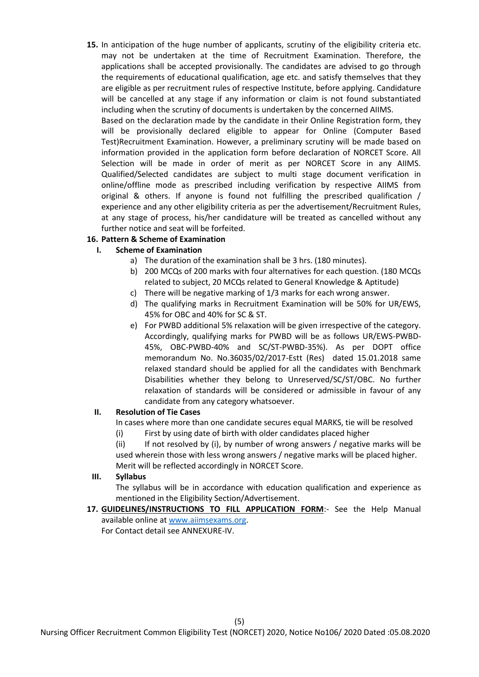**15.** In anticipation of the huge number of applicants, scrutiny of the eligibility criteria etc. may not be undertaken at the time of Recruitment Examination. Therefore, the applications shall be accepted provisionally. The candidates are advised to go through the requirements of educational qualification, age etc. and satisfy themselves that they are eligible as per recruitment rules of respective Institute, before applying. Candidature will be cancelled at any stage if any information or claim is not found substantiated including when the scrutiny of documents is undertaken by the concerned AIIMS.

Based on the declaration made by the candidate in their Online Registration form, they will be provisionally declared eligible to appear for Online (Computer Based Test)Recruitment Examination. However, a preliminary scrutiny will be made based on information provided in the application form before declaration of NORCET Score. All Selection will be made in order of merit as per NORCET Score in any AIIMS. Qualified/Selected candidates are subject to multi stage document verification in online/offline mode as prescribed including verification by respective AIIMS from original & others. If anyone is found not fulfilling the prescribed qualification / experience and any other eligibility criteria as per the advertisement/Recruitment Rules, at any stage of process, his/her candidature will be treated as cancelled without any further notice and seat will be forfeited.

# **16. Pattern & Scheme of Examination**

# **I. Scheme of Examination**

- a) The duration of the examination shall be 3 hrs. (180 minutes).
- b) 200 MCQs of 200 marks with four alternatives for each question. (180 MCQs related to subject, 20 MCQs related to General Knowledge & Aptitude)
- c) There will be negative marking of 1/3 marks for each wrong answer.
- d) The qualifying marks in Recruitment Examination will be 50% for UR/EWS, 45% for OBC and 40% for SC & ST.
- e) For PWBD additional 5% relaxation will be given irrespective of the category. Accordingly, qualifying marks for PWBD will be as follows UR/EWS-PWBD-45%, OBC-PWBD-40% and SC/ST-PWBD-35%). As per DOPT office memorandum No. No.36035/02/2017-Estt (Res) dated 15.01.2018 same relaxed standard should be applied for all the candidates with Benchmark Disabilities whether they belong to Unreserved/SC/ST/OBC. No further relaxation of standards will be considered or admissible in favour of any candidate from any category whatsoever.

## **II. Resolution of Tie Cases**

In cases where more than one candidate secures equal MARKS, tie will be resolved

(i) First by using date of birth with older candidates placed higher

(ii) If not resolved by (i), by number of wrong answers / negative marks will be used wherein those with less wrong answers / negative marks will be placed higher. Merit will be reflected accordingly in NORCET Score.

# **III. Syllabus**

The syllabus will be in accordance with education qualification and experience as mentioned in the Eligibility Section/Advertisement.

**17. GUIDELINES/INSTRUCTIONS TO FILL APPLICATION FORM**:- See the Help Manual available online at [www.aiimsexams.org.](http://www.aiimsexams.org/)

For Contact detail see ANNEXURE-IV.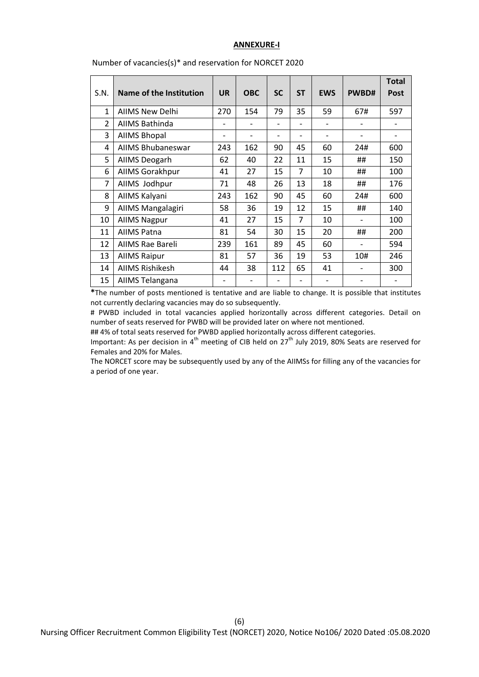#### **ANNEXURE-I**

|                |                          |           |            |                          |           |            |       | <b>Total</b> |
|----------------|--------------------------|-----------|------------|--------------------------|-----------|------------|-------|--------------|
| S.N.           | Name of the Institution  | <b>UR</b> | <b>OBC</b> | <b>SC</b>                | <b>ST</b> | <b>EWS</b> | PWBD# | <b>Post</b>  |
| 1              | <b>AIIMS New Delhi</b>   | 270       | 154        | 79                       | 35        | 59         | 67#   | 597          |
| $\overline{2}$ | AIIMS Bathinda           |           |            |                          |           |            |       |              |
| 3              | <b>AIIMS Bhopal</b>      |           |            | $\overline{\phantom{0}}$ |           |            |       |              |
| 4              | <b>AIIMS Bhubaneswar</b> | 243       | 162        | 90                       | 45        | 60         | 24#   | 600          |
| 5              | AllMS Deogarh            | 62        | 40         | 22                       | 11        | 15         | ##    | 150          |
| 6              | AllMS Gorakhpur          | 41        | 27         | 15                       | 7         | 10         | ##    | 100          |
| 7              | AllMS Jodhpur            | 71        | 48         | 26                       | 13        | 18         | ##    | 176          |
| 8              | AIIMS Kalyani            | 243       | 162        | 90                       | 45        | 60         | 24#   | 600          |
| 9              | AllMS Mangalagiri        | 58        | 36         | 19                       | 12        | 15         | ##    | 140          |
| 10             | <b>AIIMS Nagpur</b>      | 41        | 27         | 15                       | 7         | 10         |       | 100          |
| 11             | <b>AIIMS Patna</b>       | 81        | 54         | 30                       | 15        | 20         | ##    | 200          |
| 12             | AIIMS Rae Bareli         | 239       | 161        | 89                       | 45        | 60         |       | 594          |
| 13             | <b>AIIMS Raipur</b>      | 81        | 57         | 36                       | 19        | 53         | 10#   | 246          |
| 14             | <b>AIIMS Rishikesh</b>   | 44        | 38         | 112                      | 65        | 41         |       | 300          |
| 15             | AIIMS Telangana          |           |            | $\overline{\phantom{0}}$ |           |            |       |              |

Number of vacancies(s)\* and reservation for NORCET 2020

**\***The number of posts mentioned is tentative and are liable to change. It is possible that institutes not currently declaring vacancies may do so subsequently.

# PWBD included in total vacancies applied horizontally across different categories. Detail on number of seats reserved for PWBD will be provided later on where not mentioned.

## 4% of total seats reserved for PWBD applied horizontally across different categories.

Important: As per decision in 4<sup>th</sup> meeting of CIB held on 27<sup>th</sup> July 2019, 80% Seats are reserved for Females and 20% for Males.

The NORCET score may be subsequently used by any of the AIIMSs for filling any of the vacancies for a period of one year.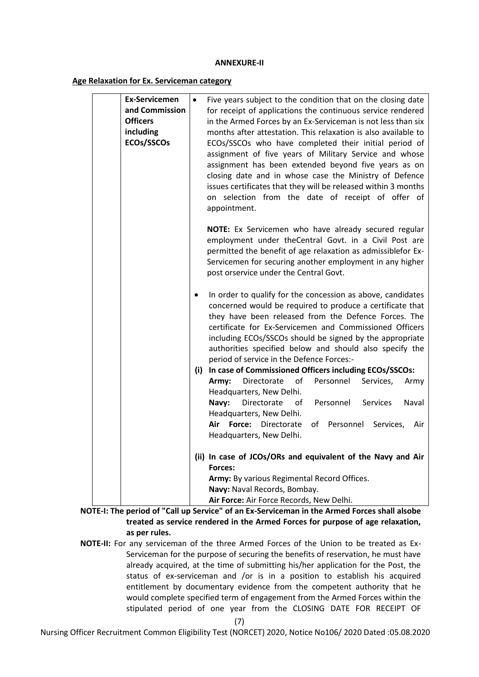### **ANNEXURE-II**

### **Age Relaxation for Ex. Serviceman category**

| <b>Ex-Servicemen</b><br>and Commission<br><b>Officers</b><br>including<br>ECOs/SSCOs | $\bullet$ | Five years subject to the condition that on the closing date<br>for receipt of applications the continuous service rendered<br>in the Armed Forces by an Ex-Serviceman is not less than six<br>months after attestation. This relaxation is also available to<br>ECOs/SSCOs who have completed their initial period of<br>assignment of five years of Military Service and whose<br>assignment has been extended beyond five years as on<br>closing date and in whose case the Ministry of Defence<br>issues certificates that they will be released within 3 months |  |  |  |
|--------------------------------------------------------------------------------------|-----------|----------------------------------------------------------------------------------------------------------------------------------------------------------------------------------------------------------------------------------------------------------------------------------------------------------------------------------------------------------------------------------------------------------------------------------------------------------------------------------------------------------------------------------------------------------------------|--|--|--|
|                                                                                      |           | on selection from the date of receipt of offer of<br>appointment.                                                                                                                                                                                                                                                                                                                                                                                                                                                                                                    |  |  |  |
|                                                                                      |           | NOTE: Ex Servicemen who have already secured regular<br>employment under theCentral Govt. in a Civil Post are<br>permitted the benefit of age relaxation as admissiblefor Ex-<br>Servicemen for securing another employment in any higher<br>post orservice under the Central Govt.                                                                                                                                                                                                                                                                                  |  |  |  |
|                                                                                      | $\bullet$ | In order to qualify for the concession as above, candidates<br>concerned would be required to produce a certificate that<br>they have been released from the Defence Forces. The<br>certificate for Ex-Servicemen and Commissioned Officers<br>including ECOs/SSCOs should be signed by the appropriate<br>authorities specified below and should also specify the<br>period of service in the Defence Forces:-                                                                                                                                                      |  |  |  |
|                                                                                      |           | (i) In case of Commissioned Officers including ECOs/SSCOs:                                                                                                                                                                                                                                                                                                                                                                                                                                                                                                           |  |  |  |
|                                                                                      |           | Directorate<br>of<br>Personnel<br>Services,<br>Army:<br>Army                                                                                                                                                                                                                                                                                                                                                                                                                                                                                                         |  |  |  |
|                                                                                      |           | Headquarters, New Delhi.<br>Directorate<br>Personnel<br>οf<br><b>Services</b><br>Naval<br>Navy:<br>Headquarters, New Delhi.<br>Air<br>Force:<br>Directorate<br>of Personnel Services,<br>Air<br>Headquarters, New Delhi.                                                                                                                                                                                                                                                                                                                                             |  |  |  |
|                                                                                      |           | (ii) In case of JCOs/ORs and equivalent of the Navy and Air                                                                                                                                                                                                                                                                                                                                                                                                                                                                                                          |  |  |  |
|                                                                                      |           | Forces:                                                                                                                                                                                                                                                                                                                                                                                                                                                                                                                                                              |  |  |  |
|                                                                                      |           | Army: By various Regimental Record Offices.                                                                                                                                                                                                                                                                                                                                                                                                                                                                                                                          |  |  |  |
|                                                                                      |           | Navy: Naval Records, Bombay.                                                                                                                                                                                                                                                                                                                                                                                                                                                                                                                                         |  |  |  |
|                                                                                      |           | Air Force: Air Force Records, New Delhi.                                                                                                                                                                                                                                                                                                                                                                                                                                                                                                                             |  |  |  |

**NOTE-I: The period of "Call up Service" of an Ex-Serviceman in the Armed Forces shall alsobe treated as service rendered in the Armed Forces for purpose of age relaxation, as per rules.** 

**NOTE-II:** For any serviceman of the three Armed Forces of the Union to be treated as Ex-Serviceman for the purpose of securing the benefits of reservation, he must have already acquired, at the time of submitting his/her application for the Post, the status of ex-serviceman and /or is in a position to establish his acquired entitlement by documentary evidence from the competent authority that he would complete specified term of engagement from the Armed Forces within the stipulated period of one year from the CLOSING DATE FOR RECEIPT OF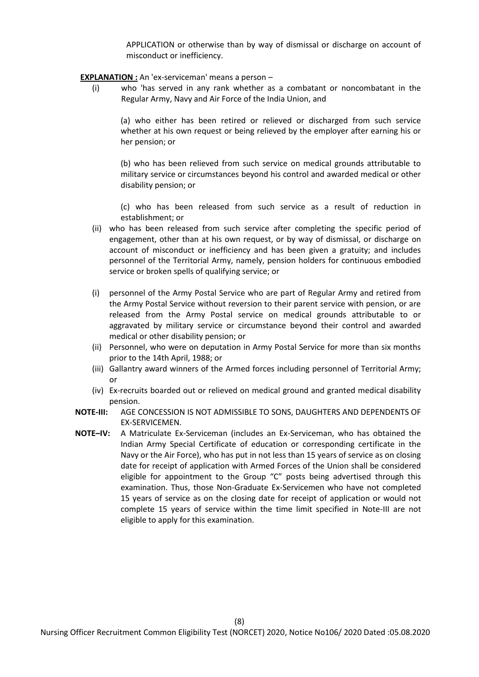APPLICATION or otherwise than by way of dismissal or discharge on account of misconduct or inefficiency.

- **EXPLANATION :** An 'ex-serviceman' means a person
	- (i) who 'has served in any rank whether as a combatant or noncombatant in the Regular Army, Navy and Air Force of the India Union, and

(a) who either has been retired or relieved or discharged from such service whether at his own request or being relieved by the employer after earning his or her pension; or

(b) who has been relieved from such service on medical grounds attributable to military service or circumstances beyond his control and awarded medical or other disability pension; or

(c) who has been released from such service as a result of reduction in establishment; or

- (ii) who has been released from such service after completing the specific period of engagement, other than at his own request, or by way of dismissal, or discharge on account of misconduct or inefficiency and has been given a gratuity; and includes personnel of the Territorial Army, namely, pension holders for continuous embodied service or broken spells of qualifying service; or
- (i) personnel of the Army Postal Service who are part of Regular Army and retired from the Army Postal Service without reversion to their parent service with pension, or are released from the Army Postal service on medical grounds attributable to or aggravated by military service or circumstance beyond their control and awarded medical or other disability pension; or
- (ii) Personnel, who were on deputation in Army Postal Service for more than six months prior to the 14th April, 1988; or
- (iii) Gallantry award winners of the Armed forces including personnel of Territorial Army; or
- (iv) Ex-recruits boarded out or relieved on medical ground and granted medical disability pension.
- **NOTE-III:** AGE CONCESSION IS NOT ADMISSIBLE TO SONS, DAUGHTERS AND DEPENDENTS OF EX-SERVICEMEN.
- **NOTE–IV:** A Matriculate Ex-Serviceman (includes an Ex-Serviceman, who has obtained the Indian Army Special Certificate of education or corresponding certificate in the Navy or the Air Force), who has put in not less than 15 years of service as on closing date for receipt of application with Armed Forces of the Union shall be considered eligible for appointment to the Group "C" posts being advertised through this examination. Thus, those Non-Graduate Ex-Servicemen who have not completed 15 years of service as on the closing date for receipt of application or would not complete 15 years of service within the time limit specified in Note-III are not eligible to apply for this examination.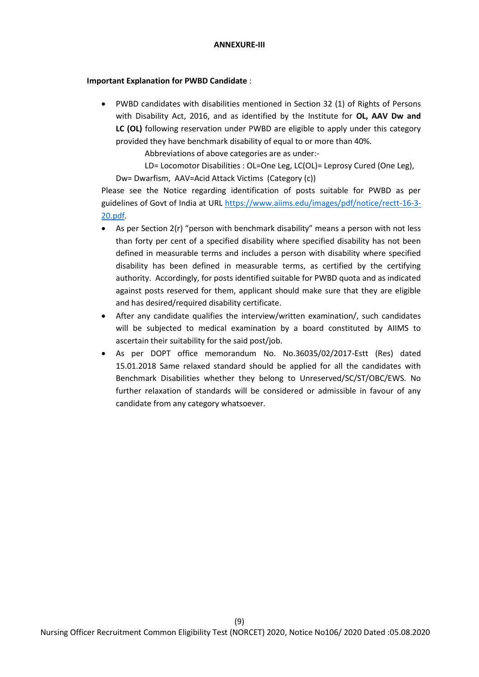## **Important Explanation for PWBD Candidate** :

 PWBD candidates with disabilities mentioned in Section 32 (1) of Rights of Persons with Disability Act, 2016, and as identified by the Institute for **OL, AAV Dw and LC (OL)** following reservation under PWBD are eligible to apply under this category provided they have benchmark disability of equal to or more than 40%.

Abbreviations of above categories are as under:-

LD= Locomotor Disabilities : OL=One Leg, LC(OL)= Leprosy Cured (One Leg), Dw= Dwarfism, AAV=Acid Attack Victims (Category (c))

Please see the Notice regarding identification of posts suitable for PWBD as per guidelines of Govt of India at URL [https://www.aiims.edu/images/pdf/notice/rectt-16-3-](https://www.aiims.edu/images/pdf/notice/rectt-16-3-20.pdf) [20.pdf.](https://www.aiims.edu/images/pdf/notice/rectt-16-3-20.pdf)

- As per Section 2(r) "person with benchmark disability" means a person with not less than forty per cent of a specified disability where specified disability has not been defined in measurable terms and includes a person with disability where specified disability has been defined in measurable terms, as certified by the certifying authority. Accordingly, for posts identified suitable for PWBD quota and as indicated against posts reserved for them, applicant should make sure that they are eligible and has desired/required disability certificate.
- After any candidate qualifies the interview/written examination/, such candidates will be subjected to medical examination by a board constituted by AIIMS to ascertain their suitability for the said post/job.
- As per DOPT office memorandum No. No.36035/02/2017-Estt (Res) dated 15.01.2018 Same relaxed standard should be applied for all the candidates with Benchmark Disabilities whether they belong to Unreserved/SC/ST/OBC/EWS. No further relaxation of standards will be considered or admissible in favour of any candidate from any category whatsoever.